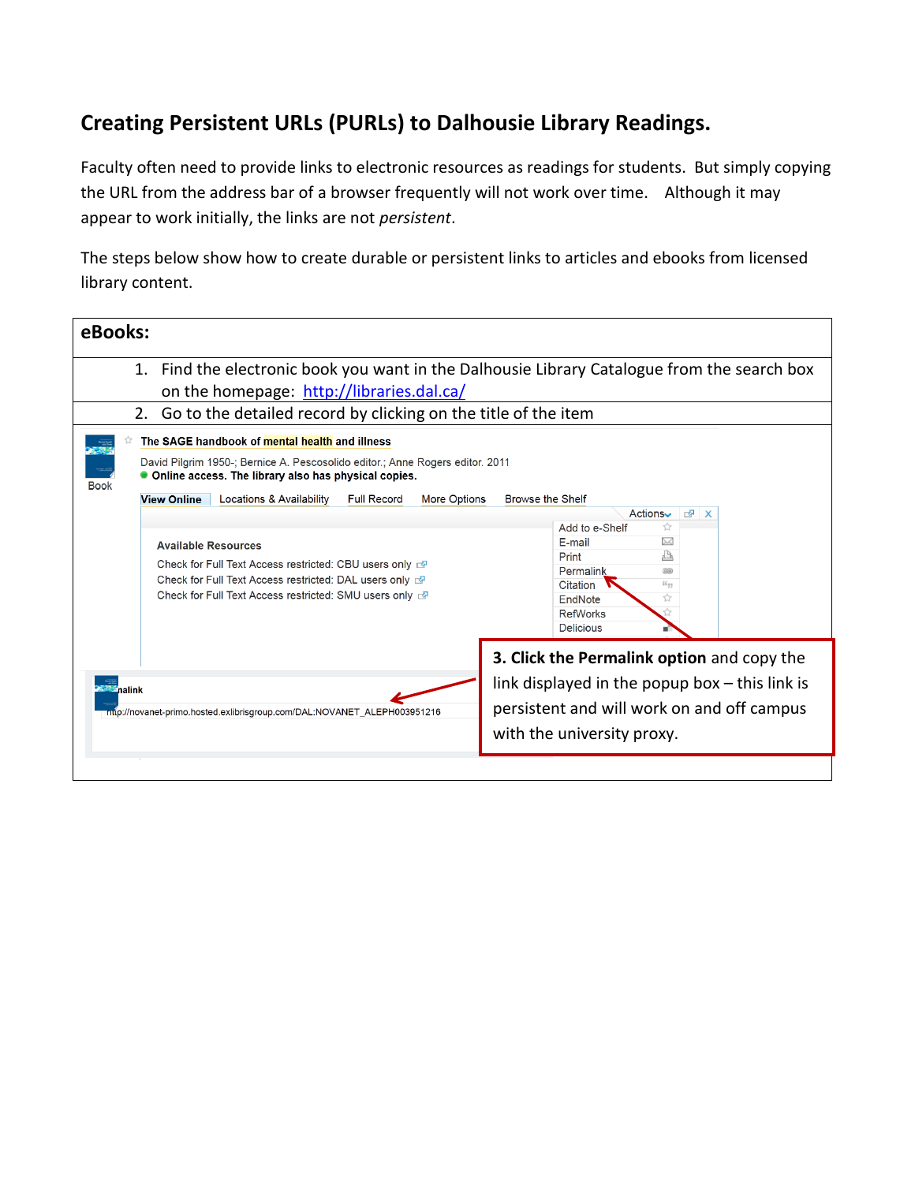## **Creating Persistent URLs (PURLs) to Dalhousie Library Readings.**

Faculty often need to provide links to electronic resources as readings for students. But simply copying the URL from the address bar of a browser frequently will not work over time. Although it may appear to work initially, the links are not *persistent*.

The steps below show how to create durable or persistent links to articles and ebooks from licensed library content.

| eBooks:                                                                                                                                                                                                                                                                                                                                                                                                                                                                                                                                                                                                                                                                                                                                                                                                                                                                                                                                            |  |
|----------------------------------------------------------------------------------------------------------------------------------------------------------------------------------------------------------------------------------------------------------------------------------------------------------------------------------------------------------------------------------------------------------------------------------------------------------------------------------------------------------------------------------------------------------------------------------------------------------------------------------------------------------------------------------------------------------------------------------------------------------------------------------------------------------------------------------------------------------------------------------------------------------------------------------------------------|--|
| 1. Find the electronic book you want in the Dalhousie Library Catalogue from the search box<br>on the homepage: http://libraries.dal.ca/<br>2. Go to the detailed record by clicking on the title of the item<br>The SAGE handbook of mental health and illness<br>David Pilgrim 1950-; Bernice A. Pescosolido editor.; Anne Rogers editor. 2011<br>• Online access. The library also has physical copies.<br><b>Book</b><br><b>View Online</b><br>Locations & Availability<br><b>Full Record</b><br><b>Browse the Shelf</b><br>More Options<br>Actions<br>图 X<br>Add to e-Shelf<br>Ÿ<br>E-mail<br>⋈<br><b>Available Resources</b><br>Print<br>Check for Full Text Access restricted. CBU users only read<br>Permalink<br>$\left(\overline{m_1}\overline{m_1}\right)$<br>Check for Full Text Access restricted: DAL users only a<br>Citation<br>$66 - 99$<br>Check for Full Text Access restricted: SMU users only &<br>EndNote<br><b>RefWorks</b> |  |
| 3. Click the Permalink option and copy the<br>link displayed in the popup box $-$ this link is<br><b><i><u>AAA</u></i></b> nalink<br>persistent and will work on and off campus<br>ntip://novanet-primo.hosted.exlibrisgroup.com/DAL:NOVANET_ALEPH003951216<br>with the university proxy.                                                                                                                                                                                                                                                                                                                                                                                                                                                                                                                                                                                                                                                          |  |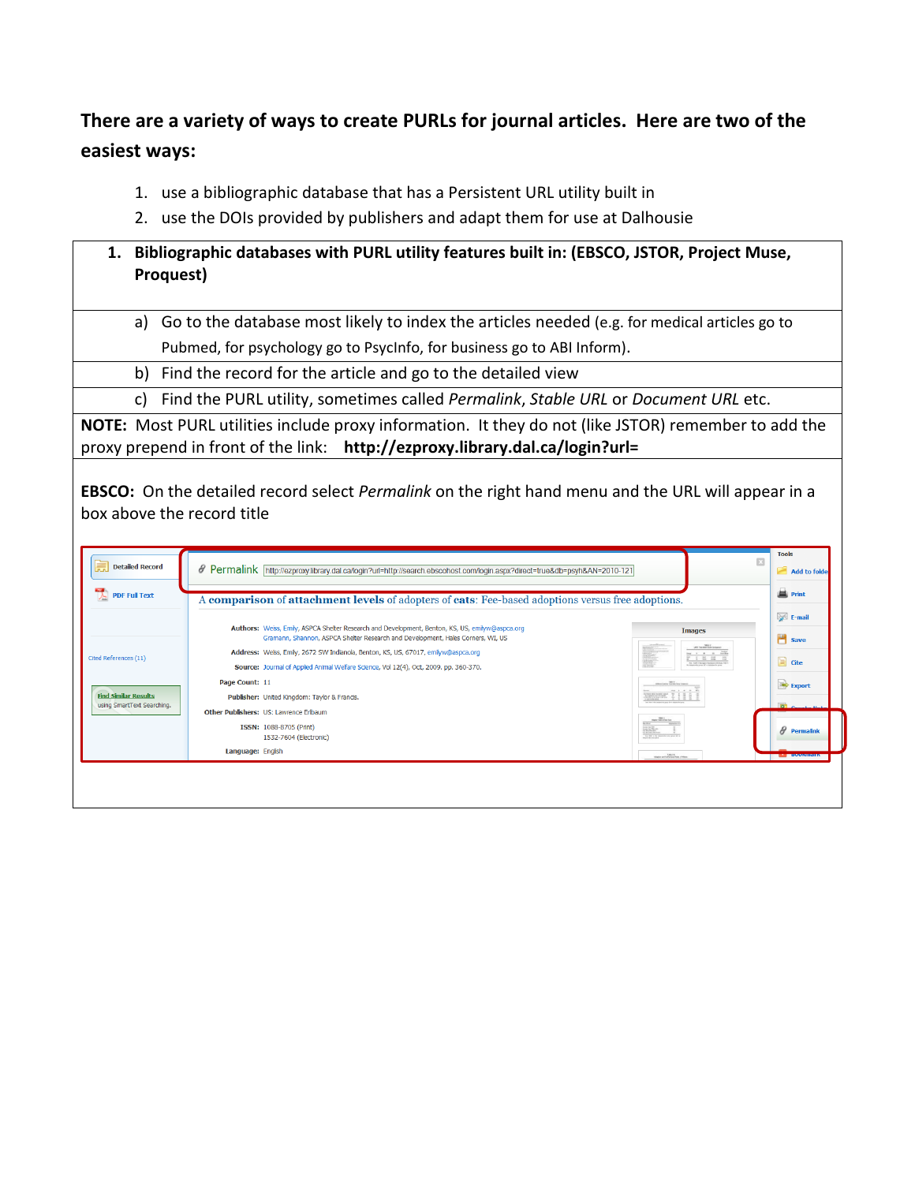## **There are a variety of ways to create PURLs for journal articles. Here are two of the easiest ways:**

- 1. use a bibliographic database that has a Persistent URL utility built in
- 2. use the DOIs provided by publishers and adapt them for use at Dalhousie

## **1. Bibliographic databases with PURL utility features built in: (EBSCO, JSTOR, Project Muse, Proquest)**

- a) Go to the database most likely to index the articles needed (e.g. for medical articles go to Pubmed, for psychology go to PsycInfo, for business go to ABI Inform).
- $\overline{b}$ ) Find the record for the article and go to the detailed view
- c) Find the PURL utility, sometimes called *Permalink*, *Stable URL* or *Document URL* etc.

**NOTE:** Most PURL utilities include proxy information. It they do not (like JSTOR) remember to add the proxy prepend in front of the link: **http://ezproxy.library.dal.ca/login?url=**

**EBSCO:** On the detailed record select *Permalink* on the right hand menu and the URL will appear in a box above the record title

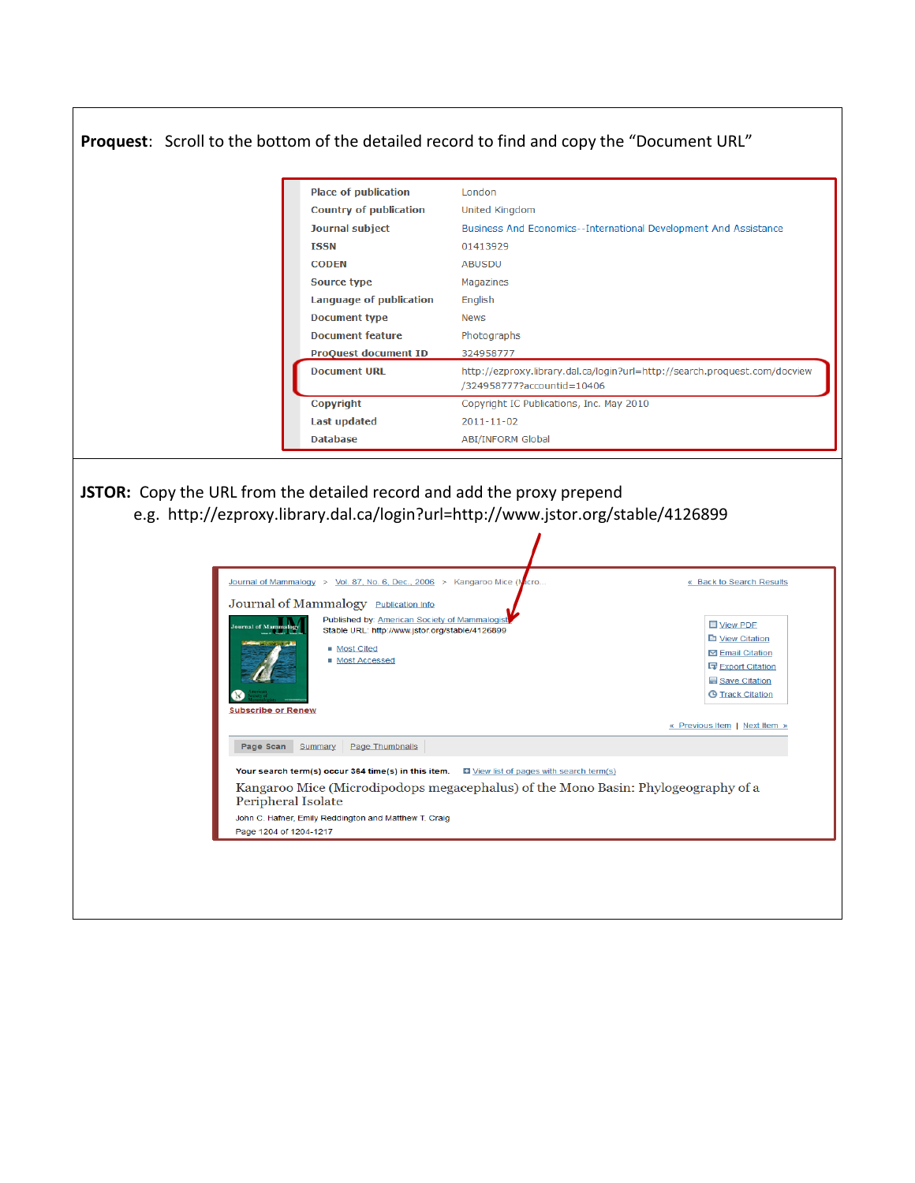## **Proquest**: Scroll to the bottom of the detailed record to find and copy the "Document URL" **Place of publication** London **Country of publication** United Kingdom **Journal subject** Business And Economics--International Development And Assistance **ISSN** 01413929 **CODEN ABUSDU Source type** Magazines **Language of publication** English **Document type News Document feature** Photographs **ProOuest document ID** 324958777 **Document URL** http://ezproxy.library.dal.ca/login?url=http://search.proquest.com/docview /324958777?accountid=10406 Copyright IC Publications, Inc. May 2010 Copyright **Last updated**  $2011 - 11 - 02$ ABI/INFORM Global **Database JSTOR:** Copy the URL from the detailed record and add the proxy prepend e.g. http://ezproxy.library.dal.ca/login?url=http://www.jstor.org/stable/4126899Journal of Mammalogy > Vol. 87, No. 6, Dec., 2006 > Kangaroo Mice (I) « Back to Search Results ero. Journal of Mammalogy Publication Info Published by: American Society of Mammalogist View PDF Stable URL: http://www.jstor.org/stable/4126899 View Citation Most Cited ◘ Email Citation ■ Most Accessed 日 Export Citation Save Citation **@ Track Citation** R **Subscribe or Renew** « Previous Item | Next Item » Page Scan Summary Page Thumbnails Your search term(s) occur 364 time(s) in this item. In View list of pages with search term(s) Kangaroo Mice (Microdipodops megacephalus) of the Mono Basin: Phylogeography of a Peripheral Isolate John C. Hafner, Emily Reddington and Matthew T. Craig Page 1204 of 1204-1217